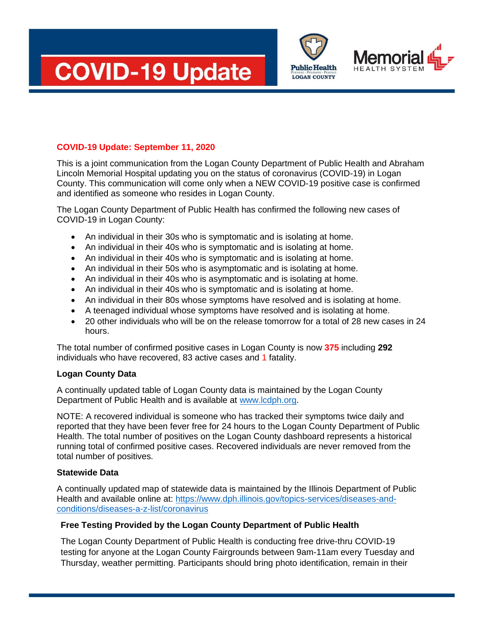





## **COVID-19 Update: September 11, 2020**

This is a joint communication from the Logan County Department of Public Health and Abraham Lincoln Memorial Hospital updating you on the status of coronavirus (COVID-19) in Logan County. This communication will come only when a NEW COVID-19 positive case is confirmed and identified as someone who resides in Logan County.

The Logan County Department of Public Health has confirmed the following new cases of COVID-19 in Logan County:

- An individual in their 30s who is symptomatic and is isolating at home.
- An individual in their 40s who is symptomatic and is isolating at home.
- An individual in their 40s who is symptomatic and is isolating at home.
- An individual in their 50s who is asymptomatic and is isolating at home.
- An individual in their 40s who is asymptomatic and is isolating at home.
- An individual in their 40s who is symptomatic and is isolating at home.
- An individual in their 80s whose symptoms have resolved and is isolating at home.
- A teenaged individual whose symptoms have resolved and is isolating at home.
- 20 other individuals who will be on the release tomorrow for a total of 28 new cases in 24 hours.

The total number of confirmed positive cases in Logan County is now **375** including **292**  individuals who have recovered, 83 active cases and 1 fatality.

## **Logan County Data**

A continually updated table of Logan County data is maintained by the Logan County Department of Public Health and is available at [www.lcdph.org.](http://www.lcdph.org/)

NOTE: A recovered individual is someone who has tracked their symptoms twice daily and reported that they have been fever free for 24 hours to the Logan County Department of Public Health. The total number of positives on the Logan County dashboard represents a historical running total of confirmed positive cases. Recovered individuals are never removed from the total number of positives.

## **Statewide Data**

A continually updated map of statewide data is maintained by the Illinois Department of Public Health and available online at: [https://www.dph.illinois.gov/topics-services/diseases-and](https://www.dph.illinois.gov/topics-services/diseases-and-conditions/diseases-a-z-list/coronavirus)[conditions/diseases-a-z-list/coronavirus](https://www.dph.illinois.gov/topics-services/diseases-and-conditions/diseases-a-z-list/coronavirus)

## **Free Testing Provided by the Logan County Department of Public Health**

The Logan County Department of Public Health is conducting free drive-thru COVID-19 testing for anyone at the Logan County Fairgrounds between 9am-11am every Tuesday and Thursday, weather permitting. Participants should bring photo identification, remain in their